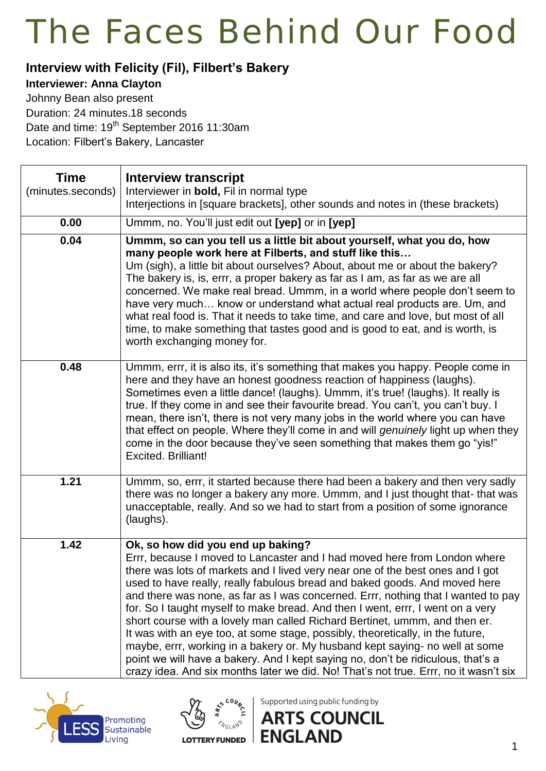#### **Interview with Felicity (Fil), Filbert's Bakery**

**Interviewer: Anna Clayton**

Johnny Bean also present Duration: 24 minutes.18 seconds Date and time: 19<sup>th</sup> September 2016 11:30am Location: Filbert's Bakery, Lancaster

| <b>Time</b><br>(minutes.seconds) | <b>Interview transcript</b><br>Interviewer in <b>bold</b> , Fil in normal type<br>Interjections in [square brackets], other sounds and notes in (these brackets)                                                                                                                                                                                                                                                                                                                                                                                                                                                                                                                                                                                                                                                                                                                  |
|----------------------------------|-----------------------------------------------------------------------------------------------------------------------------------------------------------------------------------------------------------------------------------------------------------------------------------------------------------------------------------------------------------------------------------------------------------------------------------------------------------------------------------------------------------------------------------------------------------------------------------------------------------------------------------------------------------------------------------------------------------------------------------------------------------------------------------------------------------------------------------------------------------------------------------|
| 0.00                             | Ummm, no. You'll just edit out [yep] or in [yep]                                                                                                                                                                                                                                                                                                                                                                                                                                                                                                                                                                                                                                                                                                                                                                                                                                  |
| 0.04                             | Ummm, so can you tell us a little bit about yourself, what you do, how<br>many people work here at Filberts, and stuff like this<br>Um (sigh), a little bit about ourselves? About, about me or about the bakery?<br>The bakery is, is, errr, a proper bakery as far as I am, as far as we are all<br>concerned. We make real bread. Ummm, in a world where people don't seem to<br>have very much know or understand what actual real products are. Um, and<br>what real food is. That it needs to take time, and care and love, but most of all<br>time, to make something that tastes good and is good to eat, and is worth, is<br>worth exchanging money for.                                                                                                                                                                                                                 |
| 0.48                             | Ummm, errr, it is also its, it's something that makes you happy. People come in<br>here and they have an honest goodness reaction of happiness (laughs).<br>Sometimes even a little dance! (laughs). Ummm, it's true! (laughs). It really is<br>true. If they come in and see their favourite bread. You can't, you can't buy. I<br>mean, there isn't, there is not very many jobs in the world where you can have<br>that effect on people. Where they'll come in and will genuinely light up when they<br>come in the door because they've seen something that makes them go "yis!"<br><b>Excited. Brilliant!</b>                                                                                                                                                                                                                                                               |
| 1.21                             | Ummm, so, errr, it started because there had been a bakery and then very sadly<br>there was no longer a bakery any more. Ummm, and I just thought that- that was<br>unacceptable, really. And so we had to start from a position of some ignorance<br>(laughs).                                                                                                                                                                                                                                                                                                                                                                                                                                                                                                                                                                                                                   |
| 1.42                             | Ok, so how did you end up baking?<br>Errr, because I moved to Lancaster and I had moved here from London where<br>there was lots of markets and I lived very near one of the best ones and I got<br>used to have really, really fabulous bread and baked goods. And moved here<br>and there was none, as far as I was concerned. Errr, nothing that I wanted to pay<br>for. So I taught myself to make bread. And then I went, errr, I went on a very<br>short course with a lovely man called Richard Bertinet, ummm, and then er.<br>It was with an eye too, at some stage, possibly, theoretically, in the future,<br>maybe, errr, working in a bakery or. My husband kept saying- no well at some<br>point we will have a bakery. And I kept saying no, don't be ridiculous, that's a<br>crazy idea. And six months later we did. No! That's not true. Errr, no it wasn't six |





Supported using public funding by

**ENGLAND**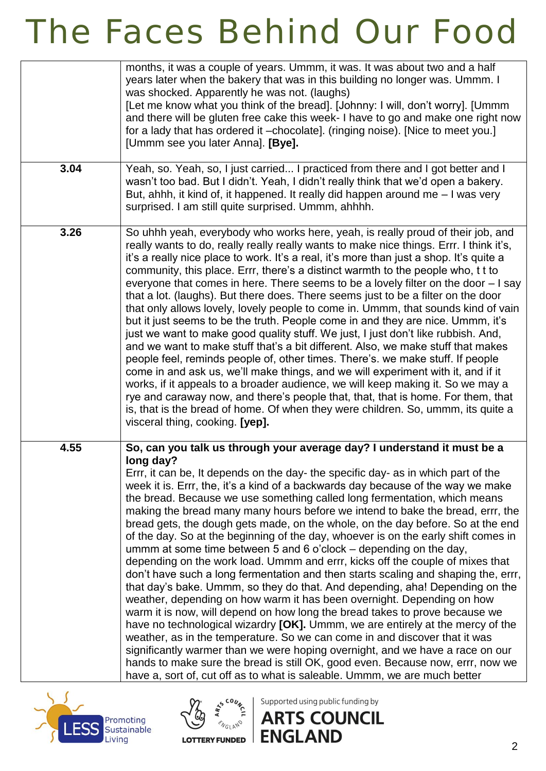|      | months, it was a couple of years. Ummm, it was. It was about two and a half<br>years later when the bakery that was in this building no longer was. Ummm. I<br>was shocked. Apparently he was not. (laughs)<br>[Let me know what you think of the bread]. [Johnny: I will, don't worry]. [Ummm]<br>and there will be gluten free cake this week- I have to go and make one right now<br>for a lady that has ordered it -chocolate]. (ringing noise). [Nice to meet you.]<br>[Ummm see you later Anna]. [Bye].                                                                                                                                                                                                                                                                                                                                                                                                                                                                                                                                                                                                                                                                                                                                                                                                                                                                                                                                                                                              |
|------|------------------------------------------------------------------------------------------------------------------------------------------------------------------------------------------------------------------------------------------------------------------------------------------------------------------------------------------------------------------------------------------------------------------------------------------------------------------------------------------------------------------------------------------------------------------------------------------------------------------------------------------------------------------------------------------------------------------------------------------------------------------------------------------------------------------------------------------------------------------------------------------------------------------------------------------------------------------------------------------------------------------------------------------------------------------------------------------------------------------------------------------------------------------------------------------------------------------------------------------------------------------------------------------------------------------------------------------------------------------------------------------------------------------------------------------------------------------------------------------------------------|
| 3.04 | Yeah, so. Yeah, so, I just carried I practiced from there and I got better and I<br>wasn't too bad. But I didn't. Yeah, I didn't really think that we'd open a bakery.<br>But, ahhh, it kind of, it happened. It really did happen around me - I was very<br>surprised. I am still quite surprised. Ummm, ahhhh.                                                                                                                                                                                                                                                                                                                                                                                                                                                                                                                                                                                                                                                                                                                                                                                                                                                                                                                                                                                                                                                                                                                                                                                           |
| 3.26 | So uhhh yeah, everybody who works here, yeah, is really proud of their job, and<br>really wants to do, really really really wants to make nice things. Errr. I think it's,<br>it's a really nice place to work. It's a real, it's more than just a shop. It's quite a<br>community, this place. Errr, there's a distinct warmth to the people who, t t to<br>everyone that comes in here. There seems to be a lovely filter on the door - I say<br>that a lot. (laughs). But there does. There seems just to be a filter on the door<br>that only allows lovely, lovely people to come in. Ummm, that sounds kind of vain<br>but it just seems to be the truth. People come in and they are nice. Ummm, it's<br>just we want to make good quality stuff. We just, I just don't like rubbish. And,<br>and we want to make stuff that's a bit different. Also, we make stuff that makes<br>people feel, reminds people of, other times. There's, we make stuff. If people<br>come in and ask us, we'll make things, and we will experiment with it, and if it<br>works, if it appeals to a broader audience, we will keep making it. So we may a<br>rye and caraway now, and there's people that, that, that is home. For them, that<br>is, that is the bread of home. Of when they were children. So, ummm, its quite a<br>visceral thing, cooking. [yep].                                                                                                                                                  |
| 4.55 | So, can you talk us through your average day? I understand it must be a<br>long day?<br>Errr, it can be, It depends on the day- the specific day- as in which part of the<br>week it is. Errr, the, it's a kind of a backwards day because of the way we make<br>the bread. Because we use something called long fermentation, which means<br>making the bread many many hours before we intend to bake the bread, errr, the<br>bread gets, the dough gets made, on the whole, on the day before. So at the end<br>of the day. So at the beginning of the day, whoever is on the early shift comes in<br>ummm at some time between 5 and 6 o'clock - depending on the day,<br>depending on the work load. Ummm and errr, kicks off the couple of mixes that<br>don't have such a long fermentation and then starts scaling and shaping the, errr,<br>that day's bake. Ummm, so they do that. And depending, aha! Depending on the<br>weather, depending on how warm it has been overnight. Depending on how<br>warm it is now, will depend on how long the bread takes to prove because we<br>have no technological wizardry [OK]. Ummm, we are entirely at the mercy of the<br>weather, as in the temperature. So we can come in and discover that it was<br>significantly warmer than we were hoping overnight, and we have a race on our<br>hands to make sure the bread is still OK, good even. Because now, errr, now we<br>have a, sort of, cut off as to what is saleable. Ummm, we are much better |



**ANGLAND** 

Supported using public funding by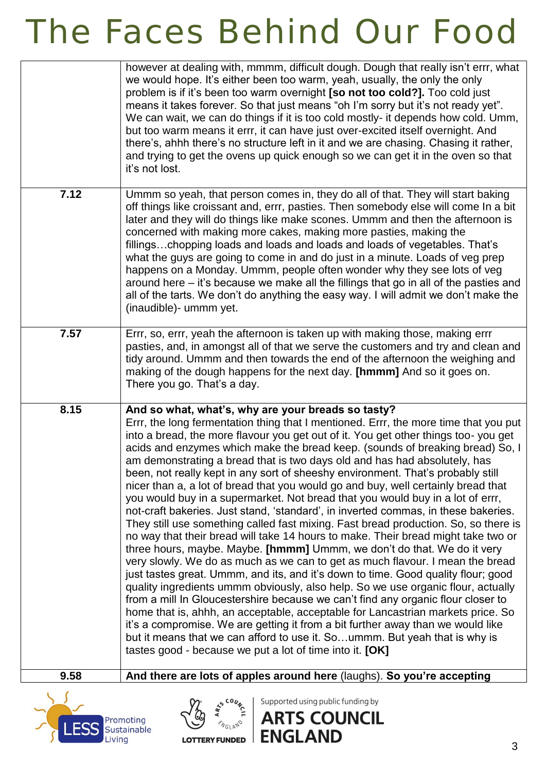|      | however at dealing with, mmmm, difficult dough. Dough that really isn't errr, what<br>we would hope. It's either been too warm, yeah, usually, the only the only<br>problem is if it's been too warm overnight [so not too cold?]. Too cold just<br>means it takes forever. So that just means "oh I'm sorry but it's not ready yet".<br>We can wait, we can do things if it is too cold mostly- it depends how cold. Umm,<br>but too warm means it errr, it can have just over-excited itself overnight. And<br>there's, ahhh there's no structure left in it and we are chasing. Chasing it rather,<br>and trying to get the ovens up quick enough so we can get it in the oven so that<br>it's not lost.                                                                                                                                                                                                                                                                                                                                                                                                                                                                                                                                                                                                                                                                                                                                                                                                                                                                                                                                                         |
|------|---------------------------------------------------------------------------------------------------------------------------------------------------------------------------------------------------------------------------------------------------------------------------------------------------------------------------------------------------------------------------------------------------------------------------------------------------------------------------------------------------------------------------------------------------------------------------------------------------------------------------------------------------------------------------------------------------------------------------------------------------------------------------------------------------------------------------------------------------------------------------------------------------------------------------------------------------------------------------------------------------------------------------------------------------------------------------------------------------------------------------------------------------------------------------------------------------------------------------------------------------------------------------------------------------------------------------------------------------------------------------------------------------------------------------------------------------------------------------------------------------------------------------------------------------------------------------------------------------------------------------------------------------------------------|
| 7.12 | Ummm so yeah, that person comes in, they do all of that. They will start baking<br>off things like croissant and, errr, pasties. Then somebody else will come In a bit<br>later and they will do things like make scones. Ummm and then the afternoon is<br>concerned with making more cakes, making more pasties, making the<br>fillingschopping loads and loads and loads and loads of vegetables. That's<br>what the guys are going to come in and do just in a minute. Loads of veg prep<br>happens on a Monday. Ummm, people often wonder why they see lots of veg<br>around here – it's because we make all the fillings that go in all of the pasties and<br>all of the tarts. We don't do anything the easy way. I will admit we don't make the<br>(inaudible) - ummm yet.                                                                                                                                                                                                                                                                                                                                                                                                                                                                                                                                                                                                                                                                                                                                                                                                                                                                                  |
| 7.57 | Errr, so, errr, yeah the afternoon is taken up with making those, making errr<br>pasties, and, in amongst all of that we serve the customers and try and clean and<br>tidy around. Ummm and then towards the end of the afternoon the weighing and<br>making of the dough happens for the next day. [hmmm] And so it goes on.<br>There you go. That's a day.                                                                                                                                                                                                                                                                                                                                                                                                                                                                                                                                                                                                                                                                                                                                                                                                                                                                                                                                                                                                                                                                                                                                                                                                                                                                                                        |
| 8.15 | And so what, what's, why are your breads so tasty?<br>Errr, the long fermentation thing that I mentioned. Errr, the more time that you put<br>into a bread, the more flavour you get out of it. You get other things too-you get<br>acids and enzymes which make the bread keep. (sounds of breaking bread) So, I<br>am demonstrating a bread that is two days old and has had absolutely, has<br>been, not really kept in any sort of sheeshy environment. That's probably still<br>nicer than a, a lot of bread that you would go and buy, well certainly bread that<br>you would buy in a supermarket. Not bread that you would buy in a lot of errr,<br>not-craft bakeries. Just stand, 'standard', in inverted commas, in these bakeries.<br>They still use something called fast mixing. Fast bread production. So, so there is<br>no way that their bread will take 14 hours to make. Their bread might take two or<br>three hours, maybe. Maybe. [hmmm] Ummm, we don't do that. We do it very<br>very slowly. We do as much as we can to get as much flavour. I mean the bread<br>just tastes great. Ummm, and its, and it's down to time. Good quality flour; good<br>quality ingredients ummm obviously, also help. So we use organic flour, actually<br>from a mill In Gloucestershire because we can't find any organic flour closer to<br>home that is, ahhh, an acceptable, acceptable for Lancastrian markets price. So<br>it's a compromise. We are getting it from a bit further away than we would like<br>but it means that we can afford to use it. Soummm. But yeah that is why is<br>tastes good - because we put a lot of time into it. [OK] |
| 9.58 | And there are lots of apples around here (laughs). So you're accepting                                                                                                                                                                                                                                                                                                                                                                                                                                                                                                                                                                                                                                                                                                                                                                                                                                                                                                                                                                                                                                                                                                                                                                                                                                                                                                                                                                                                                                                                                                                                                                                              |
|      | Supported using public funding by<br>$\frac{1}{2}$<br><b>ARTS COUNCIL</b><br>Promoting<br>Sustainable                                                                                                                                                                                                                                                                                                                                                                                                                                                                                                                                                                                                                                                                                                                                                                                                                                                                                                                                                                                                                                                                                                                                                                                                                                                                                                                                                                                                                                                                                                                                                               |

LOTTERY FUNDED **ENGLAND** 

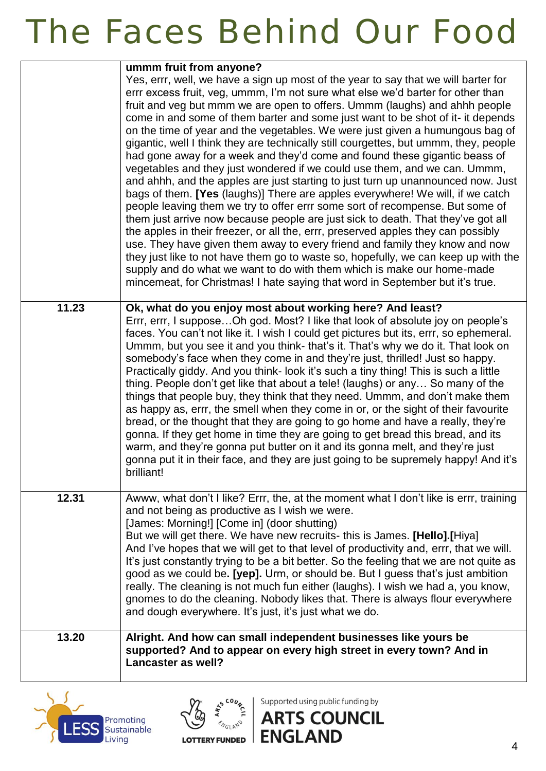|       | ummm fruit from anyone?<br>Yes, errr, well, we have a sign up most of the year to say that we will barter for<br>errr excess fruit, veg, ummm, I'm not sure what else we'd barter for other than<br>fruit and veg but mmm we are open to offers. Ummm (laughs) and ahhh people<br>come in and some of them barter and some just want to be shot of it- it depends<br>on the time of year and the vegetables. We were just given a humungous bag of<br>gigantic, well I think they are technically still courgettes, but ummm, they, people<br>had gone away for a week and they'd come and found these gigantic beass of<br>vegetables and they just wondered if we could use them, and we can. Ummm,<br>and ahhh, and the apples are just starting to just turn up unannounced now. Just<br>bags of them. [Yes (laughs)] There are apples everywhere! We will, if we catch<br>people leaving them we try to offer errr some sort of recompense. But some of<br>them just arrive now because people are just sick to death. That they've got all<br>the apples in their freezer, or all the, errr, preserved apples they can possibly<br>use. They have given them away to every friend and family they know and now<br>they just like to not have them go to waste so, hopefully, we can keep up with the<br>supply and do what we want to do with them which is make our home-made<br>mincemeat, for Christmas! I hate saying that word in September but it's true. |
|-------|-----------------------------------------------------------------------------------------------------------------------------------------------------------------------------------------------------------------------------------------------------------------------------------------------------------------------------------------------------------------------------------------------------------------------------------------------------------------------------------------------------------------------------------------------------------------------------------------------------------------------------------------------------------------------------------------------------------------------------------------------------------------------------------------------------------------------------------------------------------------------------------------------------------------------------------------------------------------------------------------------------------------------------------------------------------------------------------------------------------------------------------------------------------------------------------------------------------------------------------------------------------------------------------------------------------------------------------------------------------------------------------------------------------------------------------------------------------------------|
| 11.23 | Ok, what do you enjoy most about working here? And least?<br>Errr, errr, I suppose Oh god. Most? I like that look of absolute joy on people's<br>faces. You can't not like it. I wish I could get pictures but its, errr, so ephemeral.<br>Ummm, but you see it and you think- that's it. That's why we do it. That look on<br>somebody's face when they come in and they're just, thrilled! Just so happy.<br>Practically giddy. And you think-look it's such a tiny thing! This is such a little<br>thing. People don't get like that about a tele! (laughs) or any So many of the<br>things that people buy, they think that they need. Ummm, and don't make them<br>as happy as, errr, the smell when they come in or, or the sight of their favourite<br>bread, or the thought that they are going to go home and have a really, they're<br>gonna. If they get home in time they are going to get bread this bread, and its<br>warm, and they're gonna put butter on it and its gonna melt, and they're just<br>gonna put it in their face, and they are just going to be supremely happy! And it's<br>brilliant!                                                                                                                                                                                                                                                                                                                                                |
| 12.31 | Awww, what don't I like? Errr, the, at the moment what I don't like is errr, training<br>and not being as productive as I wish we were.<br>[James: Morning!] [Come in] (door shutting)<br>But we will get there. We have new recruits- this is James. [Hello].[Hiya]<br>And I've hopes that we will get to that level of productivity and, errr, that we will.<br>It's just constantly trying to be a bit better. So the feeling that we are not quite as<br>good as we could be. [yep]. Urm, or should be. But I guess that's just ambition<br>really. The cleaning is not much fun either (laughs). I wish we had a, you know,<br>gnomes to do the cleaning. Nobody likes that. There is always flour everywhere<br>and dough everywhere. It's just, it's just what we do.                                                                                                                                                                                                                                                                                                                                                                                                                                                                                                                                                                                                                                                                                          |
| 13.20 | Alright. And how can small independent businesses like yours be<br>supported? And to appear on every high street in every town? And in<br>Lancaster as well?                                                                                                                                                                                                                                                                                                                                                                                                                                                                                                                                                                                                                                                                                                                                                                                                                                                                                                                                                                                                                                                                                                                                                                                                                                                                                                          |





Supported using public funding by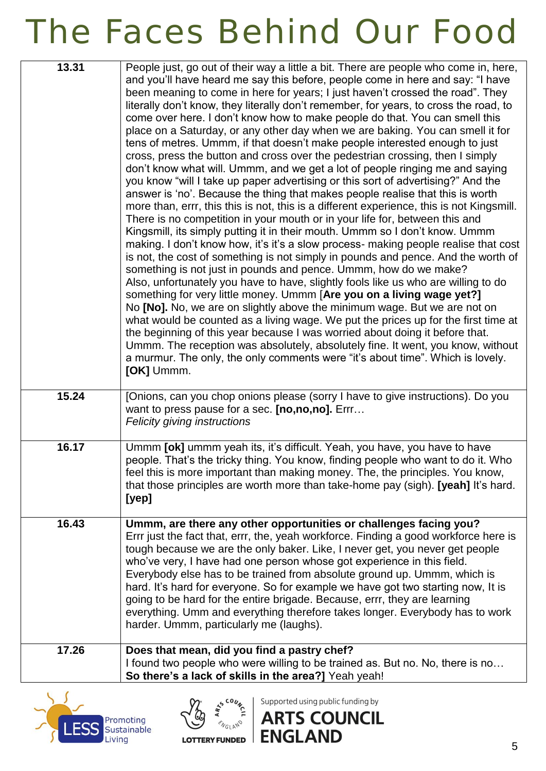| 13.31 | People just, go out of their way a little a bit. There are people who come in, here,<br>and you'll have heard me say this before, people come in here and say: "I have<br>been meaning to come in here for years; I just haven't crossed the road". They<br>literally don't know, they literally don't remember, for years, to cross the road, to<br>come over here. I don't know how to make people do that. You can smell this<br>place on a Saturday, or any other day when we are baking. You can smell it for<br>tens of metres. Ummm, if that doesn't make people interested enough to just<br>cross, press the button and cross over the pedestrian crossing, then I simply<br>don't know what will. Ummm, and we get a lot of people ringing me and saying<br>you know "will I take up paper advertising or this sort of advertising?" And the<br>answer is 'no'. Because the thing that makes people realise that this is worth<br>more than, errr, this this is not, this is a different experience, this is not Kingsmill.<br>There is no competition in your mouth or in your life for, between this and<br>Kingsmill, its simply putting it in their mouth. Ummm so I don't know. Ummm<br>making. I don't know how, it's it's a slow process- making people realise that cost<br>is not, the cost of something is not simply in pounds and pence. And the worth of<br>something is not just in pounds and pence. Ummm, how do we make?<br>Also, unfortunately you have to have, slightly fools like us who are willing to do<br>something for very little money. Ummm [Are you on a living wage yet?]<br>No [No]. No, we are on slightly above the minimum wage. But we are not on<br>what would be counted as a living wage. We put the prices up for the first time at<br>the beginning of this year because I was worried about doing it before that.<br>Ummm. The reception was absolutely, absolutely fine. It went, you know, without<br>a murmur. The only, the only comments were "it's about time". Which is lovely.<br>[OK] Ummm. |
|-------|----------------------------------------------------------------------------------------------------------------------------------------------------------------------------------------------------------------------------------------------------------------------------------------------------------------------------------------------------------------------------------------------------------------------------------------------------------------------------------------------------------------------------------------------------------------------------------------------------------------------------------------------------------------------------------------------------------------------------------------------------------------------------------------------------------------------------------------------------------------------------------------------------------------------------------------------------------------------------------------------------------------------------------------------------------------------------------------------------------------------------------------------------------------------------------------------------------------------------------------------------------------------------------------------------------------------------------------------------------------------------------------------------------------------------------------------------------------------------------------------------------------------------------------------------------------------------------------------------------------------------------------------------------------------------------------------------------------------------------------------------------------------------------------------------------------------------------------------------------------------------------------------------------------------------------------------------------------------------------------------------------------------------------------------------------|
| 15.24 | [Onions, can you chop onions please (sorry I have to give instructions). Do you<br>want to press pause for a sec. [no,no,no]. Errr<br>Felicity giving instructions                                                                                                                                                                                                                                                                                                                                                                                                                                                                                                                                                                                                                                                                                                                                                                                                                                                                                                                                                                                                                                                                                                                                                                                                                                                                                                                                                                                                                                                                                                                                                                                                                                                                                                                                                                                                                                                                                       |
| 16.17 | Ummm [ok] ummm yeah its, it's difficult. Yeah, you have, you have to have<br>people. That's the tricky thing. You know, finding people who want to do it. Who<br>feel this is more important than making money. The, the principles. You know,<br>that those principles are worth more than take-home pay (sigh). [yeah] It's hard.<br>[ <i>yep</i> ]                                                                                                                                                                                                                                                                                                                                                                                                                                                                                                                                                                                                                                                                                                                                                                                                                                                                                                                                                                                                                                                                                                                                                                                                                                                                                                                                                                                                                                                                                                                                                                                                                                                                                                    |
| 16.43 | Ummm, are there any other opportunities or challenges facing you?<br>Errr just the fact that, errr, the, yeah workforce. Finding a good workforce here is<br>tough because we are the only baker. Like, I never get, you never get people<br>who've very, I have had one person whose got experience in this field.<br>Everybody else has to be trained from absolute ground up. Ummm, which is<br>hard. It's hard for everyone. So for example we have got two starting now, It is<br>going to be hard for the entire brigade. Because, errr, they are learning<br>everything. Umm and everything therefore takes longer. Everybody has to work<br>harder. Ummm, particularly me (laughs).                                                                                                                                                                                                                                                                                                                                                                                                                                                                                                                                                                                                                                                                                                                                                                                                                                                                                                                                                                                                                                                                                                                                                                                                                                                                                                                                                              |
| 17.26 | Does that mean, did you find a pastry chef?<br>I found two people who were willing to be trained as. But no. No, there is no<br>So there's a lack of skills in the area?] Yeah yeah!                                                                                                                                                                                                                                                                                                                                                                                                                                                                                                                                                                                                                                                                                                                                                                                                                                                                                                                                                                                                                                                                                                                                                                                                                                                                                                                                                                                                                                                                                                                                                                                                                                                                                                                                                                                                                                                                     |





Supported using public funding by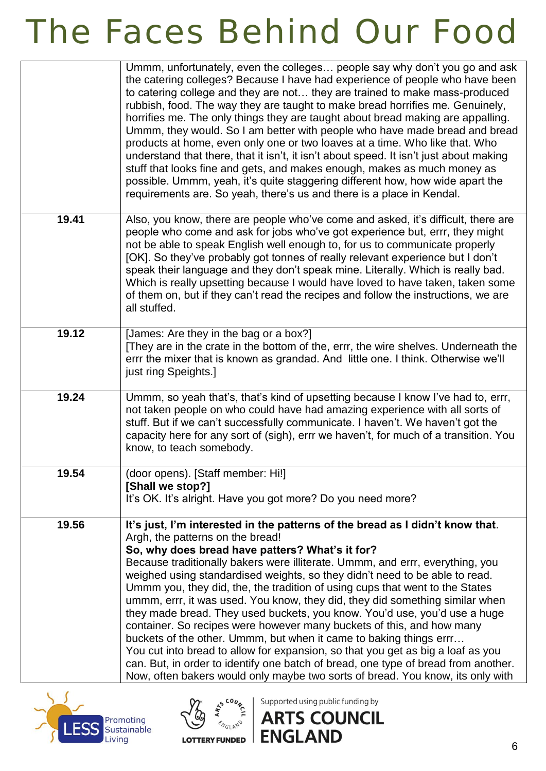|       | Ummm, unfortunately, even the colleges people say why don't you go and ask<br>the catering colleges? Because I have had experience of people who have been<br>to catering college and they are not they are trained to make mass-produced<br>rubbish, food. The way they are taught to make bread horrifies me. Genuinely,<br>horrifies me. The only things they are taught about bread making are appalling.<br>Ummm, they would. So I am better with people who have made bread and bread<br>products at home, even only one or two loaves at a time. Who like that. Who<br>understand that there, that it isn't, it isn't about speed. It isn't just about making<br>stuff that looks fine and gets, and makes enough, makes as much money as<br>possible. Ummm, yeah, it's quite staggering different how, how wide apart the<br>requirements are. So yeah, there's us and there is a place in Kendal.                                                                                  |
|-------|---------------------------------------------------------------------------------------------------------------------------------------------------------------------------------------------------------------------------------------------------------------------------------------------------------------------------------------------------------------------------------------------------------------------------------------------------------------------------------------------------------------------------------------------------------------------------------------------------------------------------------------------------------------------------------------------------------------------------------------------------------------------------------------------------------------------------------------------------------------------------------------------------------------------------------------------------------------------------------------------|
| 19.41 | Also, you know, there are people who've come and asked, it's difficult, there are<br>people who come and ask for jobs who've got experience but, errr, they might<br>not be able to speak English well enough to, for us to communicate properly<br>[OK]. So they've probably got tonnes of really relevant experience but I don't<br>speak their language and they don't speak mine. Literally. Which is really bad.<br>Which is really upsetting because I would have loved to have taken, taken some<br>of them on, but if they can't read the recipes and follow the instructions, we are<br>all stuffed.                                                                                                                                                                                                                                                                                                                                                                               |
| 19.12 | [James: Are they in the bag or a box?]<br>[They are in the crate in the bottom of the, errr, the wire shelves. Underneath the<br>errr the mixer that is known as grandad. And little one. I think. Otherwise we'll<br>just ring Speights.]                                                                                                                                                                                                                                                                                                                                                                                                                                                                                                                                                                                                                                                                                                                                                  |
| 19.24 | Ummm, so yeah that's, that's kind of upsetting because I know I've had to, errr,<br>not taken people on who could have had amazing experience with all sorts of<br>stuff. But if we can't successfully communicate. I haven't. We haven't got the<br>capacity here for any sort of (sigh), errr we haven't, for much of a transition. You<br>know, to teach somebody.                                                                                                                                                                                                                                                                                                                                                                                                                                                                                                                                                                                                                       |
| 19.54 | (door opens). [Staff member: Hi!]<br>[Shall we stop?]<br>It's OK. It's alright. Have you got more? Do you need more?                                                                                                                                                                                                                                                                                                                                                                                                                                                                                                                                                                                                                                                                                                                                                                                                                                                                        |
| 19.56 | It's just, I'm interested in the patterns of the bread as I didn't know that.<br>Argh, the patterns on the bread!<br>So, why does bread have patters? What's it for?<br>Because traditionally bakers were illiterate. Ummm, and errr, everything, you<br>weighed using standardised weights, so they didn't need to be able to read.<br>Ummm you, they did, the, the tradition of using cups that went to the States<br>ummm, errr, it was used. You know, they did, they did something similar when<br>they made bread. They used buckets, you know. You'd use, you'd use a huge<br>container. So recipes were however many buckets of this, and how many<br>buckets of the other. Ummm, but when it came to baking things errr<br>You cut into bread to allow for expansion, so that you get as big a loaf as you<br>can. But, in order to identify one batch of bread, one type of bread from another.<br>Now, often bakers would only maybe two sorts of bread. You know, its only with |





Supported using public funding by